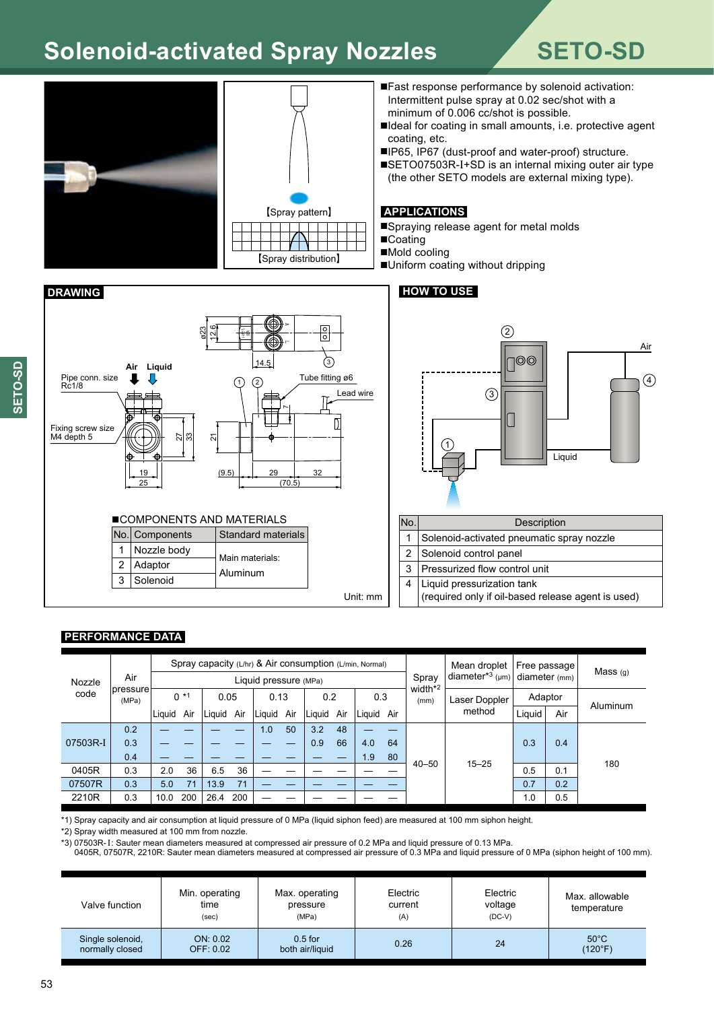# **Solenoid-activated Spray Nozzles SETO-SD**





 $\mathcal{L}$ 

D

음

Lead wire

- ■Fast response performance by solenoid activation: Intermittent pulse spray at 0.02 sec/shot with a minimum of 0.006 cc/shot is possible.
- ■Ideal for coating in small amounts, i.e. protective agent coating, etc.
- ■IP65, IP67 (dust-proof and water-proof) structure.
- ■SETO07503R-I+SD is an internal mixing outer air type (the other SETO models are external mixing type).

### **APPLICATIONS**

■Spraying release agent for metal molds ■Coating

■Mold cooling

■Uniform coating without dripping

# **DRAWING HOW TO USE**



| No.                  | Description                                        |  |  |  |  |  |  |  |
|----------------------|----------------------------------------------------|--|--|--|--|--|--|--|
| 1                    | Solenoid-activated pneumatic spray nozzle          |  |  |  |  |  |  |  |
| $\mathbf{2}^{\circ}$ | Solenoid control panel                             |  |  |  |  |  |  |  |
| 3                    | Pressurized flow control unit                      |  |  |  |  |  |  |  |
| 4                    | Liquid pressurization tank                         |  |  |  |  |  |  |  |
|                      | (required only if oil-based release agent is used) |  |  |  |  |  |  |  |

## **PERFORMANCE DATA**

1 2 3

Fixing screw size M4 depth 5

Rc1/8

Nozzle body Adaptor Solenoid

19 25

**Air Liquid**

Main materials: Aluminum

 $\sqrt{1}$ 

12.6

ø23

Pipe conn. size  $\blacksquare$   $\blacksquare$ 

 $\overline{2}$ 

72 ్ల  $\sqrt{2}$ 

14.5

 $(9.5)$  29  $\frac{32}{2}$  $(70.5)$ 

r

 $\vert$ No. Components  $\vert$  Standard materials ■COMPONENTS AND MATERIALS

| Nozzle<br>code | Air<br>Ipressure<br>(MPa) | Spray capacity (L/hr) & Air consumption (L/min, Normal) |     |        |     |        |     |        |     |        | Spray<br>width*2 |           | Mean droplet   Free passage  <br>diameter <sup>*3</sup> (µm) diameter (mm) $\vert$ |         | Mass <sub>(q)</sub> |          |
|----------------|---------------------------|---------------------------------------------------------|-----|--------|-----|--------|-----|--------|-----|--------|------------------|-----------|------------------------------------------------------------------------------------|---------|---------------------|----------|
|                |                           | Liquid pressure (MPa)                                   |     |        |     |        |     |        |     |        |                  |           |                                                                                    |         |                     |          |
|                |                           | $0 *1$                                                  |     | 0.05   |     | 0.13   |     | 0.2    |     | 0.3    |                  | (mm)      | Laser Doppler                                                                      | Adaptor |                     | Aluminum |
|                |                           | Liguid                                                  | Air | Liquid | Air | Liquid | Air | Liquid | Air | Liquid | Air              |           | method                                                                             | Liquid  | Air                 |          |
| 07503R-I       | 0.2                       |                                                         |     |        |     | 1.0    | 50  | 3.2    | 48  |        |                  |           | $15 - 25$                                                                          |         |                     | 180      |
|                | 0.3                       |                                                         |     |        |     |        |     | 0.9    | 66  | 4.0    | 64               |           |                                                                                    | 0.3     | 0.4                 |          |
|                | 0.4                       |                                                         |     |        |     |        |     |        |     | 1.9    | 80               |           |                                                                                    |         |                     |          |
| 0405R          | 0.3                       | 2.0                                                     | 36  | 6.5    | 36  |        |     |        |     |        |                  | $40 - 50$ |                                                                                    | 0.5     | 0.1                 |          |
| 07507R         | 0.3                       | 5.0                                                     | 71  | 13.9   | 71  |        |     |        |     |        |                  |           |                                                                                    | 0.7     | 0.2                 |          |
| 2210R          | 0.3                       | 10.0                                                    | 200 | 26.4   | 200 |        |     |        |     |        |                  |           |                                                                                    | 1.0     | 0.5                 |          |

Unit: mm

\*1) Spray capacity and air consumption at liquid pressure of 0 MPa (liquid siphon feed) are measured at 100 mm siphon height.

\*2) Spray width measured at 100 mm from nozzle.

\*3) 07503R-I: Sauter mean diameters measured at compressed air pressure of 0.2 MPa and liquid pressure of 0.13 MPa.

0405R, 07507R, 2210R: Sauter mean diameters measured at compressed air pressure of 0.3 MPa and liquid pressure of 0 MPa (siphon height of 100 mm).

| Valve function                      | Min. operating<br>time<br>(sec) | Max. operating<br>pressure<br>(MPa) | Electric<br>current<br>(A) | Electric<br>voltage<br>$(DC-V)$ | Max. allowable<br>temperature |
|-------------------------------------|---------------------------------|-------------------------------------|----------------------------|---------------------------------|-------------------------------|
| Single solenoid,<br>normally closed | ON: 0.02<br>OFF: 0.02           | $0.5$ for<br>both air/liquid        | 0.26                       | 24                              | $50^{\circ}$ C<br>(120°F)     |

п